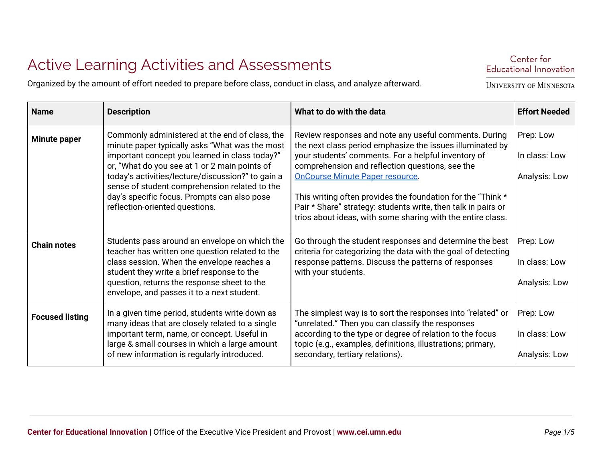## Active Learning Activities and Assessments

Organized by the amount of effort needed to prepare before class, conduct in class, and analyze afterward.

| <b>Name</b>            | <b>Description</b>                                                                                                                                                                                                                                                                                                                                                                         | What to do with the data                                                                                                                                                                                                                                                                                                                                                                                                                                              | <b>Effort Needed</b>                        |
|------------------------|--------------------------------------------------------------------------------------------------------------------------------------------------------------------------------------------------------------------------------------------------------------------------------------------------------------------------------------------------------------------------------------------|-----------------------------------------------------------------------------------------------------------------------------------------------------------------------------------------------------------------------------------------------------------------------------------------------------------------------------------------------------------------------------------------------------------------------------------------------------------------------|---------------------------------------------|
| <b>Minute paper</b>    | Commonly administered at the end of class, the<br>minute paper typically asks "What was the most<br>important concept you learned in class today?"<br>or, "What do you see at 1 or 2 main points of<br>today's activities/lecture/discussion?" to gain a<br>sense of student comprehension related to the<br>day's specific focus. Prompts can also pose<br>reflection-oriented questions. | Review responses and note any useful comments. During<br>the next class period emphasize the issues illuminated by<br>your students' comments. For a helpful inventory of<br>comprehension and reflection questions, see the<br><b>OnCourse Minute Paper resource.</b><br>This writing often provides the foundation for the "Think *<br>Pair * Share" strategy: students write, then talk in pairs or<br>trios about ideas, with some sharing with the entire class. | Prep: Low<br>In class: Low<br>Analysis: Low |
| <b>Chain notes</b>     | Students pass around an envelope on which the<br>teacher has written one question related to the<br>class session. When the envelope reaches a<br>student they write a brief response to the<br>question, returns the response sheet to the<br>envelope, and passes it to a next student.                                                                                                  | Go through the student responses and determine the best<br>criteria for categorizing the data with the goal of detecting<br>response patterns. Discuss the patterns of responses<br>with your students.                                                                                                                                                                                                                                                               | Prep: Low<br>In class: Low<br>Analysis: Low |
| <b>Focused listing</b> | In a given time period, students write down as<br>many ideas that are closely related to a single<br>important term, name, or concept. Useful in<br>large & small courses in which a large amount<br>of new information is regularly introduced.                                                                                                                                           | The simplest way is to sort the responses into "related" or<br>"unrelated." Then you can classify the responses<br>according to the type or degree of relation to the focus<br>topic (e.g., examples, definitions, illustrations; primary,<br>secondary, tertiary relations).                                                                                                                                                                                         | Prep: Low<br>In class: Low<br>Analysis: Low |

Center for Educational Innovation

**UNIVERSITY OF MINNESOTA**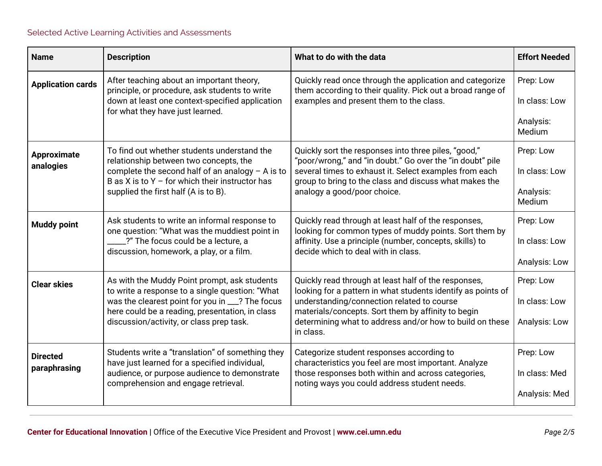| <b>Name</b>                     | <b>Description</b>                                                                                                                                                                                                                                | What to do with the data                                                                                                                                                                                                                                                                          | <b>Effort Needed</b>                              |
|---------------------------------|---------------------------------------------------------------------------------------------------------------------------------------------------------------------------------------------------------------------------------------------------|---------------------------------------------------------------------------------------------------------------------------------------------------------------------------------------------------------------------------------------------------------------------------------------------------|---------------------------------------------------|
| <b>Application cards</b>        | After teaching about an important theory,<br>principle, or procedure, ask students to write<br>down at least one context-specified application<br>for what they have just learned.                                                                | Quickly read once through the application and categorize<br>them according to their quality. Pick out a broad range of<br>examples and present them to the class.                                                                                                                                 | Prep: Low<br>In class: Low<br>Analysis:<br>Medium |
| <b>Approximate</b><br>analogies | To find out whether students understand the<br>relationship between two concepts, the<br>complete the second half of an analogy $-$ A is to<br>B as X is to $Y -$ for which their instructor has<br>supplied the first half (A is to B).          | Quickly sort the responses into three piles, "good,"<br>"poor/wrong," and "in doubt." Go over the "in doubt" pile<br>several times to exhaust it. Select examples from each<br>group to bring to the class and discuss what makes the<br>analogy a good/poor choice.                              | Prep: Low<br>In class: Low<br>Analysis:<br>Medium |
| <b>Muddy point</b>              | Ask students to write an informal response to<br>one question: "What was the muddiest point in<br>?" The focus could be a lecture, a<br>discussion, homework, a play, or a film.                                                                  | Quickly read through at least half of the responses,<br>looking for common types of muddy points. Sort them by<br>affinity. Use a principle (number, concepts, skills) to<br>decide which to deal with in class.                                                                                  | Prep: Low<br>In class: Low<br>Analysis: Low       |
| <b>Clear skies</b>              | As with the Muddy Point prompt, ask students<br>to write a response to a single question: "What<br>was the clearest point for you in __? The focus<br>here could be a reading, presentation, in class<br>discussion/activity, or class prep task. | Quickly read through at least half of the responses,<br>looking for a pattern in what students identify as points of<br>understanding/connection related to course<br>materials/concepts. Sort them by affinity to begin<br>determining what to address and/or how to build on these<br>in class. | Prep: Low<br>In class: Low<br>Analysis: Low       |
| <b>Directed</b><br>paraphrasing | Students write a "translation" of something they<br>have just learned for a specified individual,<br>audience, or purpose audience to demonstrate<br>comprehension and engage retrieval.                                                          | Categorize student responses according to<br>characteristics you feel are most important. Analyze<br>those responses both within and across categories,<br>noting ways you could address student needs.                                                                                           | Prep: Low<br>In class: Med<br>Analysis: Med       |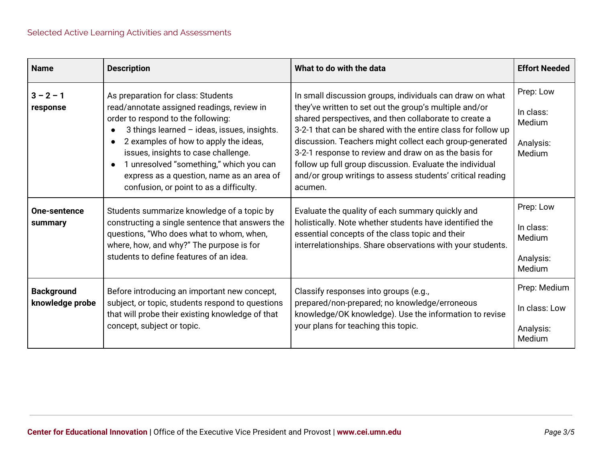| <b>Name</b>                          | <b>Description</b>                                                                                                                                                                                                                                                                                                                                                                       | What to do with the data                                                                                                                                                                                                                                                                                                                                                                                                                                                                             | <b>Effort Needed</b>                                    |
|--------------------------------------|------------------------------------------------------------------------------------------------------------------------------------------------------------------------------------------------------------------------------------------------------------------------------------------------------------------------------------------------------------------------------------------|------------------------------------------------------------------------------------------------------------------------------------------------------------------------------------------------------------------------------------------------------------------------------------------------------------------------------------------------------------------------------------------------------------------------------------------------------------------------------------------------------|---------------------------------------------------------|
| $3 - 2 - 1$<br>response              | As preparation for class: Students<br>read/annotate assigned readings, review in<br>order to respond to the following:<br>3 things learned - ideas, issues, insights.<br>2 examples of how to apply the ideas,<br>issues, insights to case challenge.<br>1 unresolved "something," which you can<br>express as a question, name as an area of<br>confusion, or point to as a difficulty. | In small discussion groups, individuals can draw on what<br>they've written to set out the group's multiple and/or<br>shared perspectives, and then collaborate to create a<br>3-2-1 that can be shared with the entire class for follow up<br>discussion. Teachers might collect each group-generated<br>3-2-1 response to review and draw on as the basis for<br>follow up full group discussion. Evaluate the individual<br>and/or group writings to assess students' critical reading<br>acumen. | Prep: Low<br>In class:<br>Medium<br>Analysis:<br>Medium |
| <b>One-sentence</b><br>summary       | Students summarize knowledge of a topic by<br>constructing a single sentence that answers the<br>questions, "Who does what to whom, when,<br>where, how, and why?" The purpose is for<br>students to define features of an idea.                                                                                                                                                         | Evaluate the quality of each summary quickly and<br>holistically. Note whether students have identified the<br>essential concepts of the class topic and their<br>interrelationships. Share observations with your students.                                                                                                                                                                                                                                                                         | Prep: Low<br>In class:<br>Medium<br>Analysis:<br>Medium |
| <b>Background</b><br>knowledge probe | Before introducing an important new concept,<br>subject, or topic, students respond to questions<br>that will probe their existing knowledge of that<br>concept, subject or topic.                                                                                                                                                                                                       | Classify responses into groups (e.g.,<br>prepared/non-prepared; no knowledge/erroneous<br>knowledge/OK knowledge). Use the information to revise<br>your plans for teaching this topic.                                                                                                                                                                                                                                                                                                              | Prep: Medium<br>In class: Low<br>Analysis:<br>Medium    |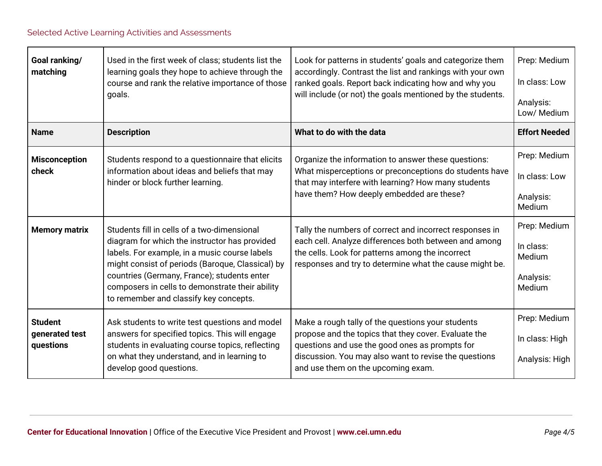| Goal ranking/<br>matching                     | Used in the first week of class; students list the<br>learning goals they hope to achieve through the<br>course and rank the relative importance of those<br>goals.                                                                                                                                                                           | Look for patterns in students' goals and categorize them<br>accordingly. Contrast the list and rankings with your own<br>ranked goals. Report back indicating how and why you<br>will include (or not) the goals mentioned by the students.                | Prep: Medium<br>In class: Low<br>Analysis:<br>Low/ Medium  |
|-----------------------------------------------|-----------------------------------------------------------------------------------------------------------------------------------------------------------------------------------------------------------------------------------------------------------------------------------------------------------------------------------------------|------------------------------------------------------------------------------------------------------------------------------------------------------------------------------------------------------------------------------------------------------------|------------------------------------------------------------|
| <b>Name</b>                                   | <b>Description</b>                                                                                                                                                                                                                                                                                                                            | What to do with the data                                                                                                                                                                                                                                   | <b>Effort Needed</b>                                       |
| <b>Misconception</b><br>check                 | Students respond to a questionnaire that elicits<br>information about ideas and beliefs that may<br>hinder or block further learning.                                                                                                                                                                                                         | Organize the information to answer these questions:<br>What misperceptions or preconceptions do students have<br>that may interfere with learning? How many students<br>have them? How deeply embedded are these?                                          | Prep: Medium<br>In class: Low<br>Analysis:<br>Medium       |
| <b>Memory matrix</b>                          | Students fill in cells of a two-dimensional<br>diagram for which the instructor has provided<br>labels. For example, in a music course labels<br>might consist of periods (Baroque, Classical) by<br>countries (Germany, France); students enter<br>composers in cells to demonstrate their ability<br>to remember and classify key concepts. | Tally the numbers of correct and incorrect responses in<br>each cell. Analyze differences both between and among<br>the cells. Look for patterns among the incorrect<br>responses and try to determine what the cause might be.                            | Prep: Medium<br>In class:<br>Medium<br>Analysis:<br>Medium |
| <b>Student</b><br>generated test<br>questions | Ask students to write test questions and model<br>answers for specified topics. This will engage<br>students in evaluating course topics, reflecting<br>on what they understand, and in learning to<br>develop good questions.                                                                                                                | Make a rough tally of the questions your students<br>propose and the topics that they cover. Evaluate the<br>questions and use the good ones as prompts for<br>discussion. You may also want to revise the questions<br>and use them on the upcoming exam. | Prep: Medium<br>In class: High<br>Analysis: High           |